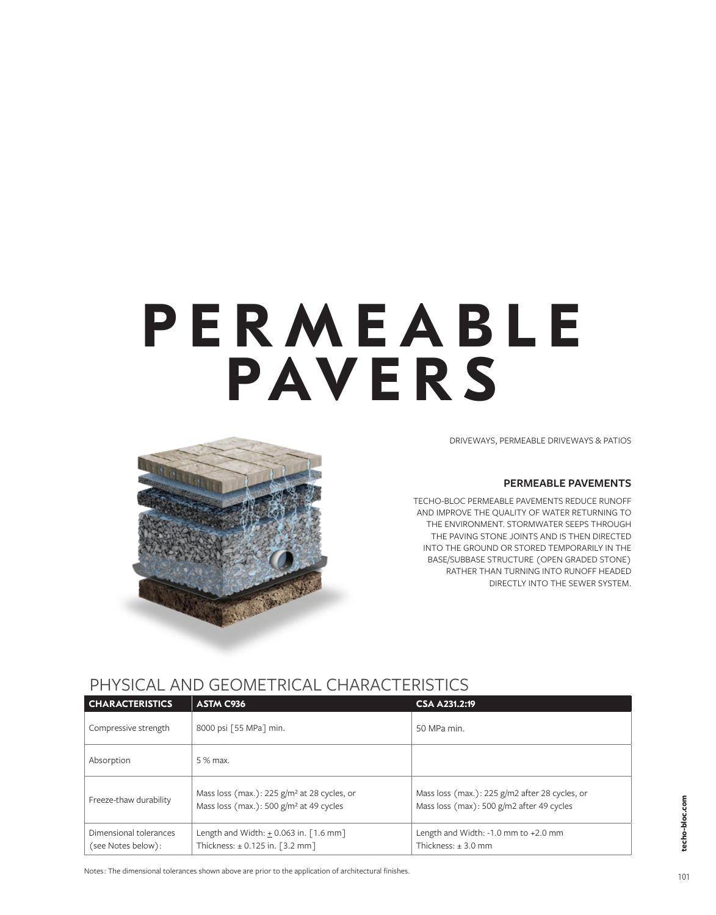# **PERMEABLE PAVERS**

DRIVEWAYS, PERMEABLE DRIVEWAYS & PATIOS

#### **PERMEABLE PAVEMENTS**

TECHO-BLOC PERMEABLE PAVEMENTS REDUCE RUNOFF AND IMPROVE THE QUALITY OF WATER RETURNING TO THE ENVIRONMENT. STORMWATER SEEPS THROUGH THE PAVING STONE JOINTS AND IS THEN DIRECTED INTO THE GROUND OR STORED TEMPORARILY IN THE BASE/SUBBASE STRUCTURE (OPEN GRADED STONE) RATHER THAN TURNING INTO RUNOFF HEADED DIRECTLY INTO THE SEWER SYSTEM.



# PHYSICAL AND GEOMETRICAL CHARACTERISTICS

| <b>CHARACTERISTICS</b>                       | ASTM C936                                                                                              | <b>CSA A231.2:19</b>                                                                        |  |
|----------------------------------------------|--------------------------------------------------------------------------------------------------------|---------------------------------------------------------------------------------------------|--|
| Compressive strength                         | 8000 psi [55 MPa] min.                                                                                 | 50 MPa min.                                                                                 |  |
| Absorption                                   | 5 % max.                                                                                               |                                                                                             |  |
| Freeze-thaw durability                       | Mass loss (max.): $225$ g/m <sup>2</sup> at 28 cycles, or<br>Mass loss (max.): 500 $g/m2$ at 49 cycles | Mass loss (max.): 225 g/m2 after 28 cycles, or<br>Mass loss (max): 500 g/m2 after 49 cycles |  |
| Dimensional tolerances<br>(see Notes below): | Length and Width: $+ 0.063$ in. $\lceil 1.6$ mm $\rceil$<br>Thickness: $\pm$ 0.125 in. [3.2 mm]        | Length and Width: -1.0 mm to +2.0 mm<br>Thickness: $\pm$ 3.0 mm                             |  |

Notes: The dimensional tolerances shown above are prior to the application of architectural finishes.

**techo-bloc.com**

:echo-bloc.com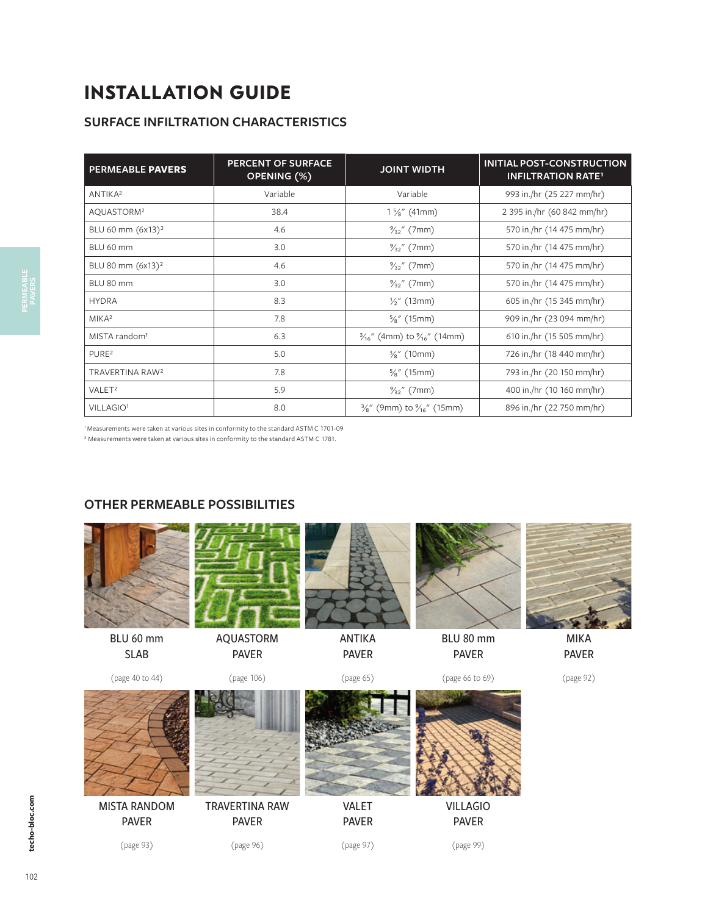# **INSTALLATION GUIDE**

# **SURFACE INFILTRATION CHARACTERISTICS**

| <b>PERMEABLE PAVERS</b>       | <b>PERCENT OF SURFACE</b><br>OPENING (%) | <b>JOINT WIDTH</b>                                | <b>INITIAL POST-CONSTRUCTION</b><br><b>INFILTRATION RATE<sup>1</sup></b> |
|-------------------------------|------------------------------------------|---------------------------------------------------|--------------------------------------------------------------------------|
| ANTIKA <sup>2</sup>           | Variable                                 | Variable                                          | 993 in./hr (25 227 mm/hr)                                                |
| AQUASTORM <sup>2</sup>        | 38.4                                     | $1\frac{5}{8}$ " (41mm)                           | 2 395 in./hr (60 842 mm/hr)                                              |
| BLU 60 mm (6x13) <sup>2</sup> | 4.6                                      | $\frac{9}{32}$ " (7mm)                            | 570 in./hr (14 475 mm/hr)                                                |
| BLU 60 mm                     | 3.0                                      | $\frac{9}{32}$ " (7mm)                            | 570 in./hr (14 475 mm/hr)                                                |
| BLU 80 mm (6x13) <sup>2</sup> | 4.6                                      | $\frac{9}{32}$ " (7mm)                            | 570 in./hr (14 475 mm/hr)                                                |
| BLU 80 mm                     | 3.0                                      | $\frac{9}{32}$ " (7mm)                            | 570 in./hr (14 475 mm/hr)                                                |
| <b>HYDRA</b>                  | 8.3                                      | $\frac{1}{2}$ " (13mm)                            | 605 in./hr (15 345 mm/hr)                                                |
| MIKA <sup>2</sup>             | 7.8                                      | $\frac{5}{8}$ " (15mm)                            | 909 in./hr (23 094 mm/hr)                                                |
| MISTA random <sup>1</sup>     | 6.3                                      | $\frac{3}{16}$ " (4mm) to $\frac{9}{16}$ " (14mm) | 610 in./hr (15 505 mm/hr)                                                |
| PURE <sup>2</sup>             | 5.0                                      | $\frac{3}{8}$ " (10mm)                            | 726 in./hr (18 440 mm/hr)                                                |
| TRAVERTINA RAW <sup>2</sup>   | 7.8                                      | $\frac{5}{8}$ " (15mm)                            | 793 in./hr (20 150 mm/hr)                                                |
| VALET <sup>2</sup>            | 5.9                                      | $\frac{9}{32}$ " (7mm)                            | 400 in./hr (10 160 mm/hr)                                                |
| VILLAGIO <sup>1</sup>         | 8.0                                      | $\frac{3}{8}$ " (9mm) to $\frac{9}{16}$ " (15mm)  | 896 in./hr (22 750 mm/hr)                                                |

1 Measurements were taken at various sites in conformity to the standard ASTM C 1701-09

² Measurements were taken at various sites in conformity to the standard ASTM C 1781.

## **OTHER PERMEABLE POSSIBILITIES**

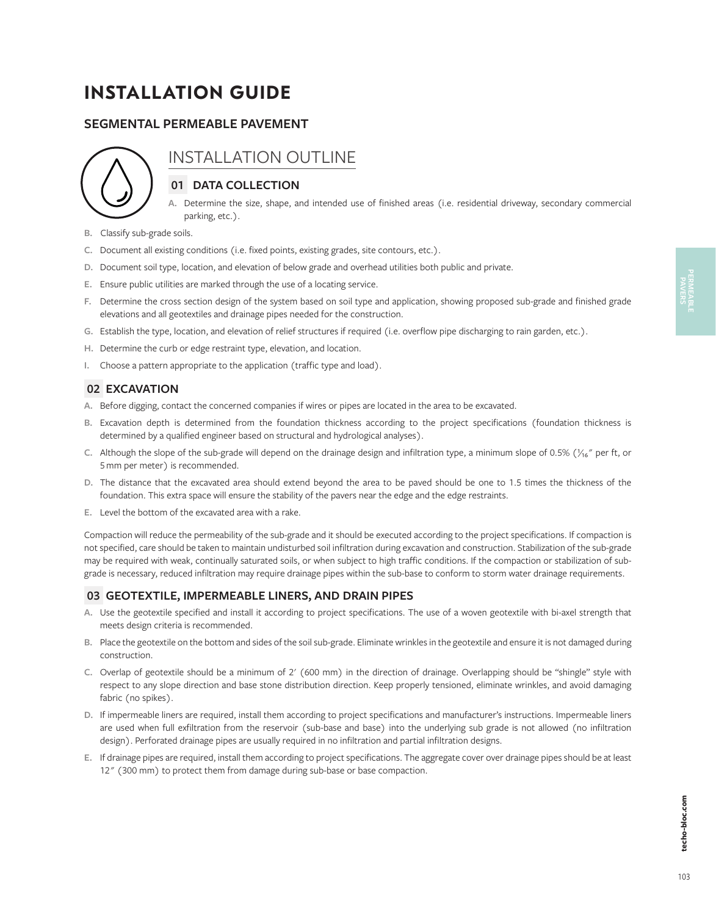# **INSTALLATION GUIDE**

## **SEGMENTAL PERMEABLE PAVEMENT**



# INSTALLATION OUTLINE

## **01 DATA COLLECTION**

- **A.** Determine the size, shape, and intended use of finished areas (i.e. residential driveway, secondary commercial parking, etc.).
- **B.** Classify sub-grade soils.
- **C.** Document all existing conditions (i.e. fixed points, existing grades, site contours, etc.).
- **D.** Document soil type, location, and elevation of below grade and overhead utilities both public and private.
- **E.** Ensure public utilities are marked through the use of a locating service.
- **F.** Determine the cross section design of the system based on soil type and application, showing proposed sub-grade and finished grade elevations and all geotextiles and drainage pipes needed for the construction.
- **G.** Establish the type, location, and elevation of relief structures if required (i.e. overflow pipe discharging to rain garden, etc.).
- **H.** Determine the curb or edge restraint type, elevation, and location.
- **I.** Choose a pattern appropriate to the application (traffic type and load).

## **02 EXCAVATION**

- **A.** Before digging, contact the concerned companies if wires or pipes are located in the area to be excavated.
- **B.** Excavation depth is determined from the foundation thickness according to the project specifications (foundation thickness is determined by a qualified engineer based on structural and hydrological analyses).
- C. Although the slope of the sub-grade will depend on the drainage design and infiltration type, a minimum slope of 0.5% ( $\frac{1}{6}$ " per ft, or 5 mm per meter) is recommended.
- **D.** The distance that the excavated area should extend beyond the area to be paved should be one to 1.5 times the thickness of the foundation. This extra space will ensure the stability of the pavers near the edge and the edge restraints.
- **E.** Level the bottom of the excavated area with a rake.

Compaction will reduce the permeability of the sub-grade and it should be executed according to the project specifications. If compaction is not specified, care should be taken to maintain undisturbed soil infiltration during excavation and construction. Stabilization of the sub-grade may be required with weak, continually saturated soils, or when subject to high traffic conditions. If the compaction or stabilization of subgrade is necessary, reduced infiltration may require drainage pipes within the sub-base to conform to storm water drainage requirements.

#### **03 GEOTEXTILE, IMPERMEABLE LINERS, AND DRAIN PIPES**

- **A.** Use the geotextile specified and install it according to project specifications. The use of a woven geotextile with bi-axel strength that meets design criteria is recommended.
- **B.** Place the geotextile on the bottom and sides of the soil sub-grade. Eliminate wrinkles in the geotextile and ensure it is not damaged during construction.
- **C.** Overlap of geotextile should be a minimum of 2' (600 mm) in the direction of drainage. Overlapping should be "shingle" style with respect to any slope direction and base stone distribution direction. Keep properly tensioned, eliminate wrinkles, and avoid damaging fabric (no spikes).
- **D.** If impermeable liners are required, install them according to project specifications and manufacturer's instructions. Impermeable liners are used when full exfiltration from the reservoir (sub-base and base) into the underlying sub grade is not allowed (no infiltration design). Perforated drainage pipes are usually required in no infiltration and partial infiltration designs.
- **E.** If drainage pipes are required, install them according to project specifications. The aggregate cover over drainage pipes should be at least 12" (300 mm) to protect them from damage during sub-base or base compaction.